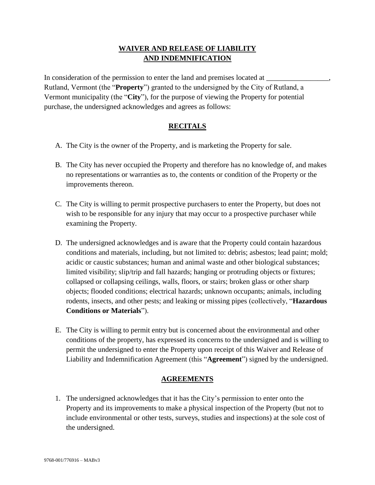## **WAIVER AND RELEASE OF LIABILITY AND INDEMNIFICATION**

In consideration of the permission to enter the land and premises located at Rutland, Vermont (the "**Property**") granted to the undersigned by the City of Rutland, a Vermont municipality (the "**City**"), for the purpose of viewing the Property for potential purchase, the undersigned acknowledges and agrees as follows:

## **RECITALS**

- A. The City is the owner of the Property, and is marketing the Property for sale.
- B. The City has never occupied the Property and therefore has no knowledge of, and makes no representations or warranties as to, the contents or condition of the Property or the improvements thereon.
- C. The City is willing to permit prospective purchasers to enter the Property, but does not wish to be responsible for any injury that may occur to a prospective purchaser while examining the Property.
- D. The undersigned acknowledges and is aware that the Property could contain hazardous conditions and materials, including, but not limited to: debris; asbestos; lead paint; mold; acidic or caustic substances; human and animal waste and other biological substances; limited visibility; slip/trip and fall hazards; hanging or protruding objects or fixtures; collapsed or collapsing ceilings, walls, floors, or stairs; broken glass or other sharp objects; flooded conditions; electrical hazards; unknown occupants; animals, including rodents, insects, and other pests; and leaking or missing pipes (collectively, "**Hazardous Conditions or Materials**").
- E. The City is willing to permit entry but is concerned about the environmental and other conditions of the property, has expressed its concerns to the undersigned and is willing to permit the undersigned to enter the Property upon receipt of this Waiver and Release of Liability and Indemnification Agreement (this "**Agreement**") signed by the undersigned.

## **AGREEMENTS**

1. The undersigned acknowledges that it has the City's permission to enter onto the Property and its improvements to make a physical inspection of the Property (but not to include environmental or other tests, surveys, studies and inspections) at the sole cost of the undersigned.